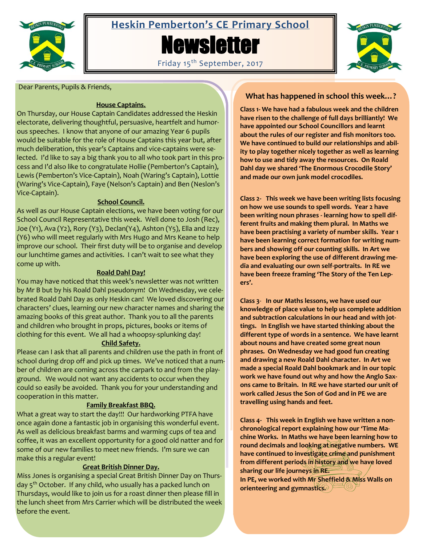

# **Heskin Pemberton's CE Primary School Newsletter**





Dear Parents, Pupils & Friends,

# **House Captains.**

On Thursday, our House Captain Candidates addressed the Heskin electorate, delivering thoughtful, persuasive, heartfelt and humorous speeches. I know that anyone of our amazing Year 6 pupils would be suitable for the role of House Captains this year but, after much deliberation, this year's Captains and vice-captains were selected. I'd like to say a big thank you to all who took part in this process and I'd also like to congratulate Hollie (Pemberton's Captain), Lewis (Pemberton's Vice-Captain), Noah (Waring's Captain), Lottie (Waring's Vice-Captain), Faye (Nelson's Captain) and Ben (Neslon's Vice-Captain).

# **School Council.**

As well as our House Captain elections, we have been voting for our School Council Representative this week. Well done to Josh (Rec), Joe (Y1), Ava (Y2), Rory (Y3), Declan(Y4), Ashton (Y5), Ella and Izzy (Y6) who will meet regularly with Mrs Hugo and Mrs Keane to help improve our school. Their first duty will be to organise and develop our lunchtime games and activities. I can't wait to see what they come up with.

# **Roald Dahl Day!**

You may have noticed that this week's newsletter was not written by Mr B but by his Roald Dahl pseudonym! On Wednesday, we celebrated Roald Dahl Day as only Heskin can! We loved discovering our characters' clues, learning our new character names and sharing the amazing books of this great author. Thank you to all the parents and children who brought in props, pictures, books or items of clothing for this event. We all had a whoopsy-splunking day!

# **Child Safety.**

Please can I ask that all parents and children use the path in front of school during drop off and pick up times. We've noticed that a number of children are coming across the carpark to and from the playground. We would not want any accidents to occur when they could so easily be avoided. Thank you for your understanding and cooperation in this matter.

# **Family Breakfast BBQ.**

What a great way to start the day!!! Our hardworking PTFA have once again done a fantastic job in organising this wonderful event. As well as delicious breakfast barms and warming cups of tea and coffee, it was an excellent opportunity for a good old natter and for some of our new families to meet new friends. I'm sure we can make this a regular event!

# **Great British Dinner Day.**

Miss Jones is organising a special Great British Dinner Day on Thursday 5<sup>th</sup> October. If any child, who usually has a packed lunch on Thursdays, would like to join us for a roast dinner then please fill in the lunch sheet from Mrs Carrier which will be distributed the week before the event.

# **What has happened in school this week…?**

**Class 1- We have had a fabulous week and the children have risen to the challenge of full days brilliantly! We have appointed our School Councillors and learnt about the rules of our register and fish monitors too. We have continued to build our relationships and ability to play together nicely together as well as learning how to use and tidy away the resources. On Roald Dahl day we shared 'The Enormous Crocodile Story' and made our own junk model crocodiles.**

**Class 2- This week we have been writing lists focusing on how we use sounds to spell words. Year 2 have been writing noun phrases - learning how to spell different fruits and making them plural. In Maths we have been practising a variety of number skills. Year 1 have been learning correct formation for writing numbers and showing off our counting skills. In Art we have been exploring the use of different drawing media and evaluating our own self-portraits. In RE we have been freeze framing 'The Story of the Ten Lepers'.**

**Class 3**- **In our Maths lessons, we have used our knowledge of place value to help us complete addition and subtraction calculations in our head and with jottings. In English we have started thinking about the different type of words in a sentence. We have learnt about nouns and have created some great noun phrases. On Wednesday we had good fun creating and drawing a new Roald Dahl character. In Art we made a special Roald Dahl bookmark and in our topic work we have found out why and how the Anglo Saxons came to Britain. In RE we have started our unit of work called Jesus the Son of God and in PE we are travelling using hands and feet.**

**Class 4- This week in English we have written a nonchronological report explaining how our 'Time Machine Works. In Maths we have been learning how to round decimals and looking at negative numbers. WE have continued to investigate crime and punishment from different periods in history and we have loved sharing our life journeys in RE. In PE, we worked with Mr Sheffield & Miss Walls on** 

**orienteering and gymnastics.**